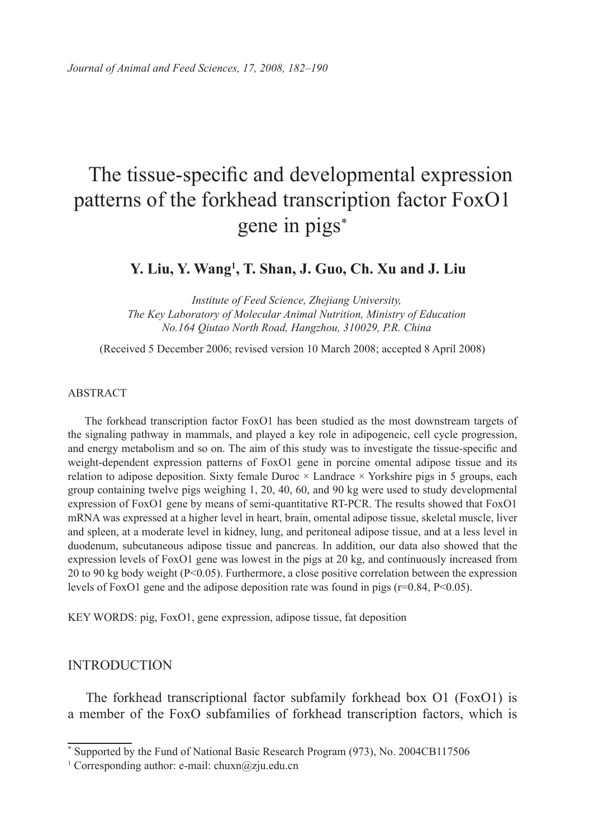# The tissue-specific and developmental expression patterns of the forkhead transcription factor FoxO1 gene in pigs<sup>∗</sup>

**Y. Liu, Y. Wang1 , T. Shan, J. Guo, Ch. Xu and J. Liu**

*Institute of Feed Science, Zhejiang University, The Key Laboratory of Molecular Animal Nutrition, Ministry of Education No.164 Qiutao North Road, Hangzhou, 310029, P.R. China*

(Received 5 December 2006; revised version 10 March 2008; accepted 8 April 2008)

#### ABSTRACT

The forkhead transcription factor FoxO1 has been studied as the most downstream targets of the signaling pathway in mammals, and played a key role in adipogeneic, cell cycle progression, and energy metabolism and so on. The aim of this study was to investigate the tissue-specific and weight-dependent expression patterns of FoxO1 gene in porcine omental adipose tissue and its relation to adipose deposition. Sixty female Duroc  $\times$  Landrace  $\times$  Yorkshire pigs in 5 groups, each group containing twelve pigs weighing 1, 20, 40, 60, and 90 kg were used to study developmental expression of FoxO1 gene by means of semi-quantitative RT-PCR. The results showed that FoxO1 mRNA was expressed at a higher level in heart, brain, omental adipose tissue, skeletal muscle, liver and spleen, at a moderate level in kidney, lung, and peritoneal adipose tissue, and at a less level in duodenum, subcutaneous adipose tissue and pancreas. In addition, our data also showed that the expression levels of FoxO1 gene was lowest in the pigs at 20 kg, and continuously increased from 20 to 90 kg body weight (P<0.05). Furthermore, a close positive correlation between the expression levels of FoxO1 gene and the adipose deposition rate was found in pigs ( $r=0.84$ ,  $P<0.05$ ).

KEY WORDS: pig, FoxO1, gene expression, adipose tissue, fat deposition

#### **INTRODUCTION**

The forkhead transcriptional factor subfamily forkhead box O1 (FoxO1) is a member of the FoxO subfamilies of forkhead transcription factors, which is

<sup>\*</sup> Supported by the Fund of National Basic Research Program (973), No. 2004CB117506

<sup>&</sup>lt;sup>1</sup> Corresponding author: e-mail: chuxn@zju.edu.cn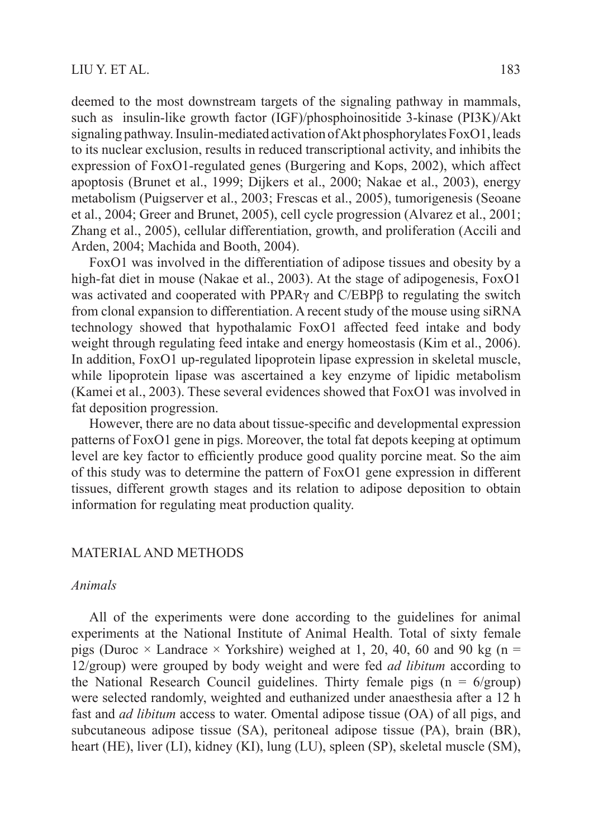deemed to the most downstream targets of the signaling pathway in mammals, such as insulin-like growth factor (IGF)/phosphoinositide 3-kinase (PI3K)/Akt signaling pathway. Insulin-mediated activation of Akt phosphorylates FoxO1, leads to its nuclear exclusion, results in reduced transcriptional activity, and inhibits the expression of FoxO1-regulated genes (Burgering and Kops, 2002), which affect apoptosis (Brunet et al., 1999; Dijkers et al., 2000; Nakae et al., 2003), energy metabolism (Puigserver et al., 2003; Frescas et al., 2005), tumorigenesis (Seoane et al., 2004; Greer and Brunet, 2005), cell cycle progression (Alvarez et al., 2001; Zhang et al., 2005), cellular differentiation, growth, and proliferation (Accili and Arden, 2004; Machida and Booth, 2004).

FoxO1 was involved in the differentiation of adipose tissues and obesity by a high-fat diet in mouse (Nakae et al., 2003). At the stage of adipogenesis, FoxO1 was activated and cooperated with PPARγ and C/EBPβ to regulating the switch from clonal expansion to differentiation. A recent study of the mouse using siRNA technology showed that hypothalamic FoxO1 affected feed intake and body weight through regulating feed intake and energy homeostasis (Kim et al., 2006). In addition, FoxO1 up-regulated lipoprotein lipase expression in skeletal muscle, while lipoprotein lipase was ascertained a key enzyme of lipidic metabolism (Kamei et al., 2003). These several evidences showed that FoxO1 was involved in fat deposition progression.

However, there are no data about tissue-specific and developmental expression patterns of FoxO1 gene in pigs. Moreover, the total fat depots keeping at optimum level are key factor to efficiently produce good quality porcine meat. So the aim of this study was to determine the pattern of FoxO1 gene expression in different tissues, different growth stages and its relation to adipose deposition to obtain information for regulating meat production quality.

## MATERIAL AND METHODS

## *Animals*

All of the experiments were done according to the guidelines for animal experiments at the National Institute of Animal Health. Total of sixty female pigs (Duroc  $\times$  Landrace  $\times$  Yorkshire) weighed at 1, 20, 40, 60 and 90 kg (n = 12/group) were grouped by body weight and were fed *ad libitum* according to the National Research Council guidelines. Thirty female pigs  $(n = 6/$ group) were selected randomly, weighted and euthanized under anaesthesia after a 12 h fast and *ad libitum* access to water. Omental adipose tissue (OA) of all pigs, and subcutaneous adipose tissue (SA), peritoneal adipose tissue (PA), brain (BR), heart (HE), liver (LI), kidney (KI), lung (LU), spleen (SP), skeletal muscle (SM),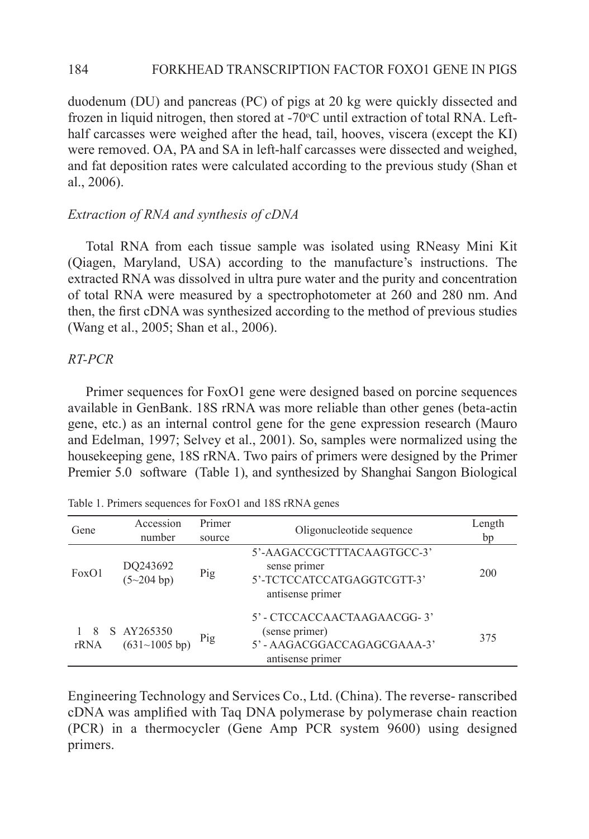#### 184 FORKHEAD TRANSCRIPTION FACTOR FOXO1 GENE IN PIGS

duodenum (DU) and pancreas (PC) of pigs at 20 kg were quickly dissected and frozen in liquid nitrogen, then stored at -70°C until extraction of total RNA. Lefthalf carcasses were weighed after the head, tail, hooves, viscera (except the KI) were removed. OA, PA and SA in left-half carcasses were dissected and weighed, and fat deposition rates were calculated according to the previous study (Shan et al., 2006).

## *Extraction of RNA and synthesis of cDNA*

Total RNA from each tissue sample was isolated using RNeasy Mini Kit (Qiagen, Maryland, USA) according to the manufacture's instructions. The extracted RNA was dissolved in ultra pure water and the purity and concentration of total RNA were measured by a spectrophotometer at 260 and 280 nm. And then, the first cDNA was synthesized according to the method of previous studies (Wang et al., 2005; Shan et al., 2006).

## *RT-PCR*

Primer sequences for FoxO1 gene were designed based on porcine sequences available in GenBank. 18S rRNA was more reliable than other genes (beta-actin gene, etc.) as an internal control gene for the gene expression research (Mauro and Edelman, 1997; Selvey et al., 2001). So, samples were normalized using the housekeeping gene, 18S rRNA. Two pairs of primers were designed by the Primer Premier 5.0 software (Table 1), and synthesized by Shanghai Sangon Biological

| Gene       | Accession<br>number         | Primer<br>source | Oligonucleotide sequence                                                                       | Length<br>bp |
|------------|-----------------------------|------------------|------------------------------------------------------------------------------------------------|--------------|
| FoxO1      | DQ243692<br>(5~204 b)       | Pig              | 5'-AAGACCGCTTTACAAGTGCC-3'<br>sense primer<br>5'-TCTCCATCCATGAGGTCGTT-3'<br>antisense primer   | 200          |
| -8<br>rRNA | S AY265350<br>(631~1005~bp) | Pig              | 5' - CTCCACCAACTAAGAACGG-3'<br>(sense primer)<br>5'-AAGACGGACCAGAGCGAAA-3'<br>antisense primer | 375          |

Table 1. Primers sequences for FoxO1 and 18S rRNA genes

Engineering Technology and Services Co., Ltd. (China). The reverse- ranscribed cDNA was amplified with Taq DNA polymerase by polymerase chain reaction (PCR) in a thermocycler (Gene Amp PCR system 9600) using designed primers.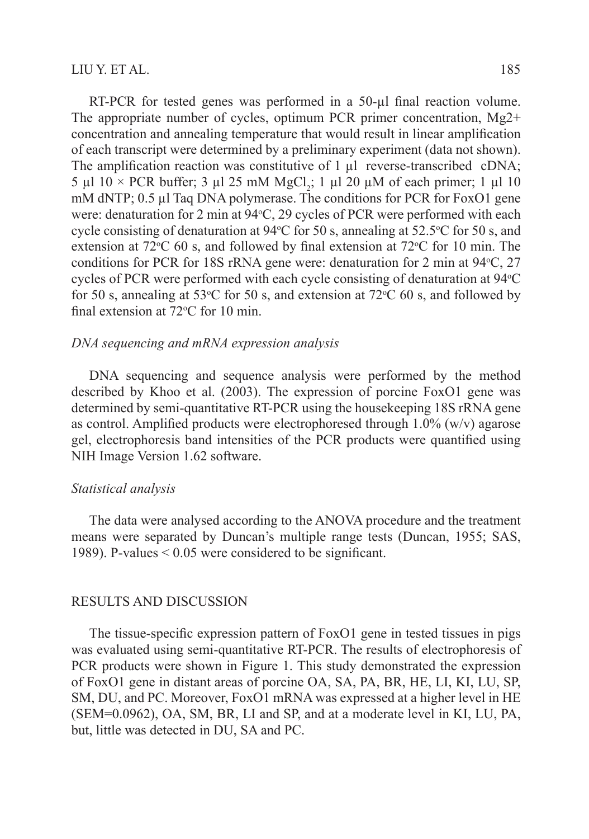RT-PCR for tested genes was performed in a 50-µl final reaction volume. The appropriate number of cycles, optimum PCR primer concentration, Mg2+ concentration and annealing temperature that would result in linear amplification of each transcript were determined by a preliminary experiment (data not shown). The amplification reaction was constitutive of 1 µl reverse-transcribed cDNA; 5 µl 10 × PCR buffer; 3 µl 25 mM MgCl<sub>2</sub>; 1 µl 20 µM of each primer; 1 µl 10 mM dNTP; 0.5 µl Taq DNA polymerase. The conditions for PCR for FoxO1 gene were: denaturation for 2 min at 94 °C, 29 cycles of PCR were performed with each cycle consisting of denaturation at  $94^{\circ}$ C for 50 s, annealing at 52.5 $^{\circ}$ C for 50 s, and extension at  $72^{\circ}$ C 60 s, and followed by final extension at  $72^{\circ}$ C for 10 min. The conditions for PCR for 18S rRNA gene were: denaturation for 2 min at  $94^{\circ}$ C, 27 cycles of PCR were performed with each cycle consisting of denaturation at  $94^{\circ}$ C for 50 s, annealing at 53 $\degree$ C for 50 s, and extension at 72 $\degree$ C 60 s, and followed by final extension at  $72^{\circ}$ C for 10 min.

#### *DNA sequencing and mRNA expression analysis*

DNA sequencing and sequence analysis were performed by the method described by Khoo et al. (2003). The expression of porcine FoxO1 gene was determined by semi-quantitative RT-PCR using the housekeeping 18S rRNA gene as control. Amplified products were electrophoresed through  $1.0\%$  (w/v) agarose gel, electrophoresis band intensities of the PCR products were quantified using NIH Image Version 1.62 software.

## *Statistical analysis*

The data were analysed according to the ANOVA procedure and the treatment means were separated by Duncan's multiple range tests (Duncan, 1955; SAS, 1989). P-values  $\leq 0.05$  were considered to be significant.

### RESULTS AND DISCUSSION

The tissue-specific expression pattern of FoxO1 gene in tested tissues in pigs was evaluated using semi-quantitative RT-PCR. The results of electrophoresis of PCR products were shown in Figure 1. This study demonstrated the expression of FoxO1 gene in distant areas of porcine OA, SA, PA, BR, HE, LI, KI, LU, SP, SM, DU, and PC. Moreover, FoxO1 mRNA was expressed at a higher level in HE (SEM=0.0962), OA, SM, BR, LI and SP, and at a moderate level in KI, LU, PA, but, little was detected in DU, SA and PC.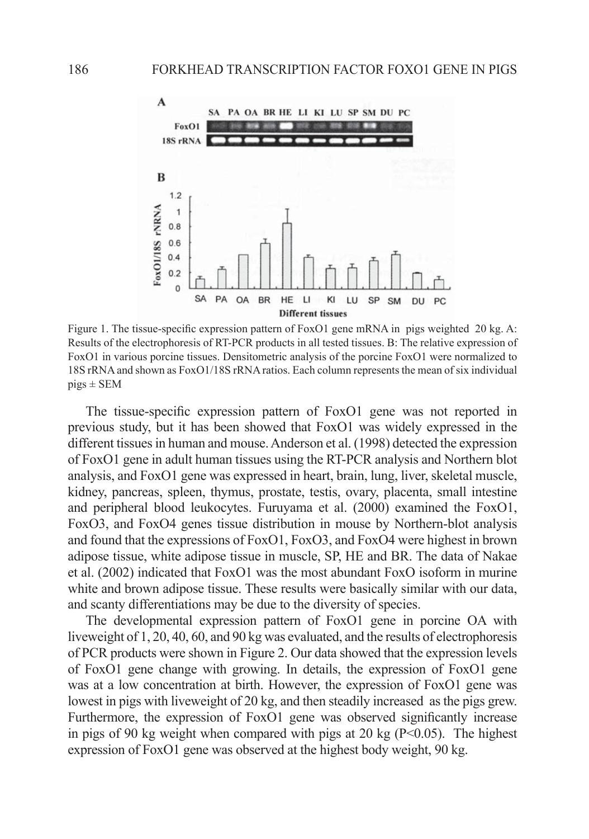

Figure 1. The tissue-specific expression pattern of FoxO1 gene mRNA in pigs weighted 20 kg. A: Results of the electrophoresis of RT-PCR products in all tested tissues. B: The relative expression of FoxO1 in various porcine tissues. Densitometric analysis of the porcine FoxO1 were normalized to 18S rRNA and shown as FoxO1/18S rRNA ratios. Each column represents the mean of six individual  $pigs \pm$  SEM

The tissue-specific expression pattern of FoxO1 gene was not reported in previous study, but it has been showed that FoxO1 was widely expressed in the different tissues in human and mouse. Anderson et al. (1998) detected the expression of FoxO1 gene in adult human tissues using the RT-PCR analysis and Northern blot analysis, and FoxO1 gene was expressed in heart, brain, lung, liver, skeletal muscle, kidney, pancreas, spleen, thymus, prostate, testis, ovary, placenta, small intestine and peripheral blood leukocytes. Furuyama et al. (2000) examined the FoxO1, FoxO3, and FoxO4 genes tissue distribution in mouse by Northern-blot analysis and found that the expressions of FoxO1, FoxO3, and FoxO4 were highest in brown adipose tissue, white adipose tissue in muscle, SP, HE and BR. The data of Nakae et al. (2002) indicated that FoxO1 was the most abundant FoxO isoform in murine white and brown adipose tissue. These results were basically similar with our data, and scanty differentiations may be due to the diversity of species.

The developmental expression pattern of FoxO1 gene in porcine OA with liveweight of 1, 20, 40, 60, and 90 kg was evaluated, and the results of electrophoresis of PCR products were shown in Figure 2. Our data showed that the expression levels of FoxO1 gene change with growing. In details, the expression of FoxO1 gene was at a low concentration at birth. However, the expression of FoxO1 gene was lowest in pigs with liveweight of 20 kg, and then steadily increased as the pigs grew. Furthermore, the expression of  $FoxO1$  gene was observed significantly increase in pigs of 90 kg weight when compared with pigs at 20 kg  $(P<0.05)$ . The highest expression of FoxO1 gene was observed at the highest body weight, 90 kg.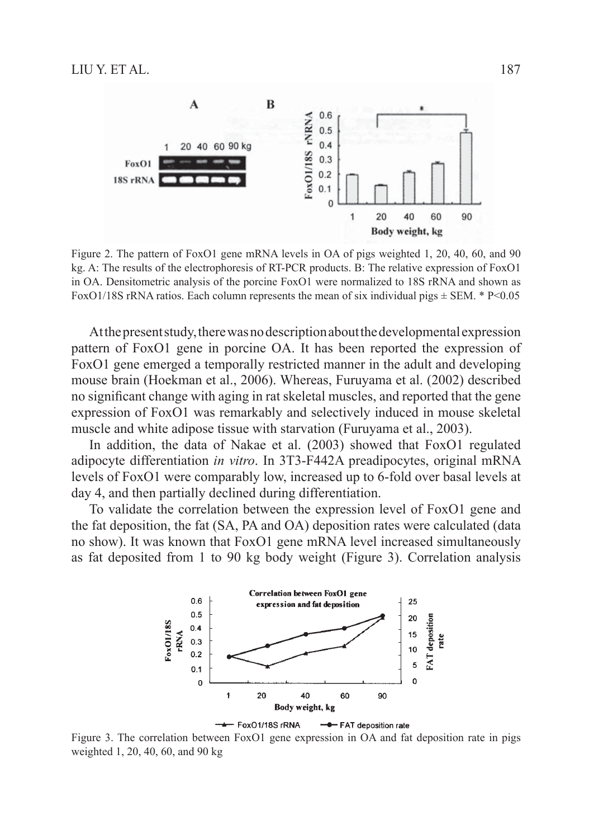

Figure 2. The pattern of FoxO1 gene mRNA levels in OA of pigs weighted 1, 20, 40, 60, and 90 kg. A: The results of the electrophoresis of RT-PCR products. B: The relative expression of FoxO1 in OA. Densitometric analysis of the porcine FoxO1 were normalized to 18S rRNA and shown as FoxO1/18S rRNA ratios. Each column represents the mean of six individual pigs  $\pm$  SEM. \* P<0.05

At the present study, there was no description about the developmental expression pattern of FoxO1 gene in porcine OA. It has been reported the expression of FoxO1 gene emerged a temporally restricted manner in the adult and developing mouse brain (Hoekman et al., 2006). Whereas, Furuyama et al. (2002) described no significant change with aging in rat skeletal muscles, and reported that the gene expression of FoxO1 was remarkably and selectively induced in mouse skeletal muscle and white adipose tissue with starvation (Furuyama et al., 2003).

In addition, the data of Nakae et al. (2003) showed that FoxO1 regulated adipocyte differentiation *in vitro*. In 3T3-F442A preadipocytes, original mRNA levels of FoxO1 were comparably low, increased up to 6-fold over basal levels at day 4, and then partially declined during differentiation.

To validate the correlation between the expression level of FoxO1 gene and the fat deposition, the fat (SA, PA and OA) deposition rates were calculated (data no show). It was known that FoxO1 gene mRNA level increased simultaneously as fat deposited from 1 to 90 kg body weight (Figure 3). Correlation analysis



Figure 3. The correlation between FoxO1 gene expression in OA and fat deposition rate in pigs weighted 1, 20, 40, 60, and 90 kg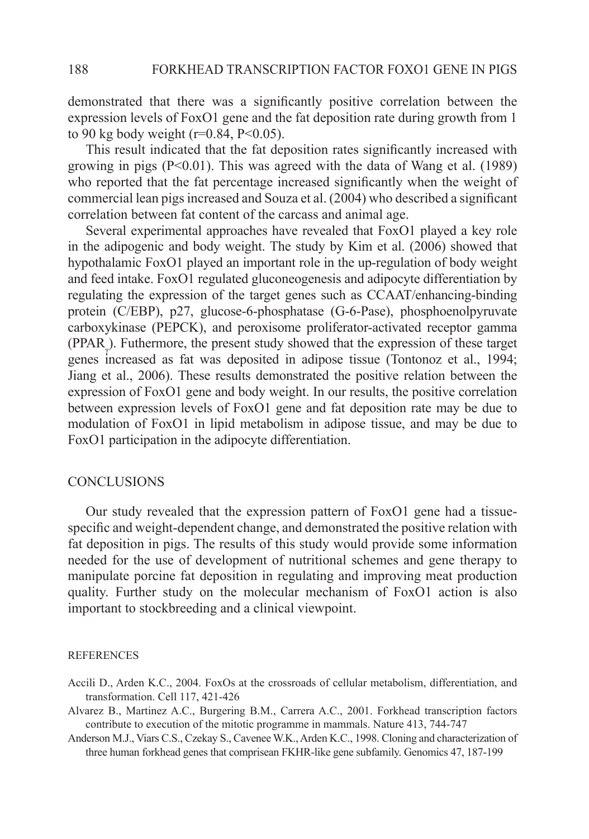demonstrated that there was a significantly positive correlation between the expression levels of FoxO1 gene and the fat deposition rate during growth from 1 to 90 kg body weight ( $r=0.84$ ,  $P<0.05$ ).

This result indicated that the fat deposition rates significantly increased with growing in pigs  $(P<0.01)$ . This was agreed with the data of Wang et al. (1989) who reported that the fat percentage increased significantly when the weight of commercial lean pigs increased and Souza et al. (2004) who described a significant correlation between fat content of the carcass and animal age.

Several experimental approaches have revealed that FoxO1 played a key role in the adipogenic and body weight. The study by Kim et al. (2006) showed that hypothalamic FoxO1 played an important role in the up-regulation of body weight and feed intake. FoxO1 regulated gluconeogenesis and adipocyte differentiation by regulating the expression of the target genes such as CCAAT/enhancing-binding protein (C/EBP), p27, glucose-6-phosphatase (G-6-Pase), phosphoenolpyruvate carboxykinase (PEPCK), and peroxisome proliferator-activated receptor gamma  $(PPAR_{\gamma})$ . Futhermore, the present study showed that the expression of these target genes increased as fat was deposited in adipose tissue (Tontonoz et al., 1994; Jiang et al., 2006). These results demonstrated the positive relation between the expression of FoxO1 gene and body weight. In our results, the positive correlation between expression levels of FoxO1 gene and fat deposition rate may be due to modulation of FoxO1 in lipid metabolism in adipose tissue, and may be due to FoxO1 participation in the adipocyte differentiation.

#### **CONCLUSIONS**

Our study revealed that the expression pattern of FoxO1 gene had a tissuespecific and weight-dependent change, and demonstrated the positive relation with fat deposition in pigs. The results of this study would provide some information needed for the use of development of nutritional schemes and gene therapy to manipulate porcine fat deposition in regulating and improving meat production quality. Further study on the molecular mechanism of FoxO1 action is also important to stockbreeding and a clinical viewpoint.

#### **REFERENCES**

- Accili D., Arden K.C., 2004. FoxOs at the crossroads of cellular metabolism, differentiation, and transformation. Cell 117, 421-426
- Alvarez B., Martinez A.C., Burgering B.M., Carrera A.C., 2001. Forkhead transcription factors contribute to execution of the mitotic programme in mammals. Nature 413, 744-747
- Anderson M.J., Viars C.S., Czekay S., Cavenee W.K., Arden K.C., 1998. Cloning and characterization of three human forkhead genes that comprisean FKHR-like gene subfamily. Genomics 47, 187-199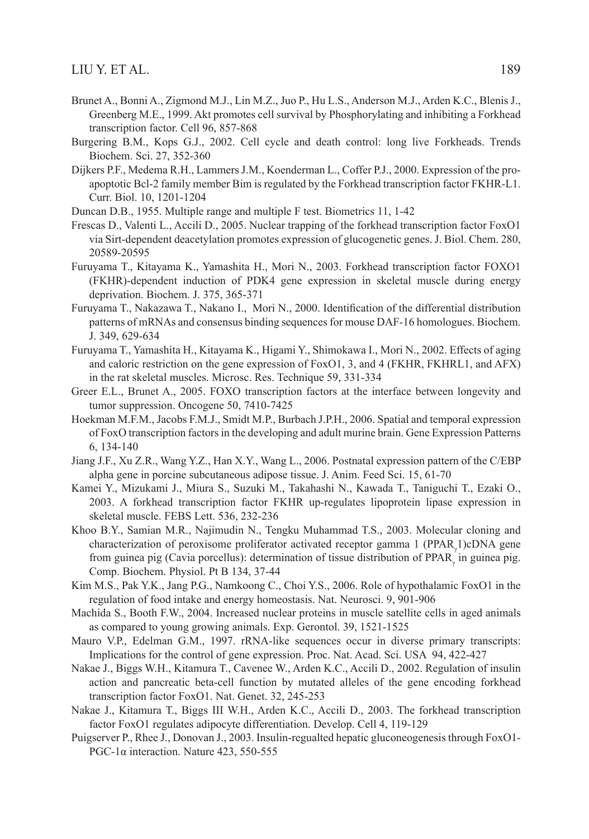- Brunet A., Bonni A., Zigmond M.J., Lin M.Z., Juo P., Hu L.S., Anderson M.J., Arden K.C., Blenis J., Greenberg M.E., 1999. Akt promotes cell survival by Phosphorylating and inhibiting a Forkhead transcription factor. Cell 96, 857-868
- Burgering B.M., Kops G.J., 2002. Cell cycle and death control: long live Forkheads. Trends Biochem. Sci. 27, 352-360
- Dijkers P.F., Medema R.H., Lammers J.M., Koenderman L., Coffer P.J., 2000. Expression of the proapoptotic Bcl-2 family member Bim is regulated by the Forkhead transcription factor FKHR-L1. Curr. Biol. 10, 1201-1204
- Duncan D.B., 1955. Multiple range and multiple F test. Biometrics 11, 1-42
- Frescas D., Valenti L., Accili D., 2005. Nuclear trapping of the forkhead transcription factor FoxO1 via Sirt-dependent deacetylation promotes expression of glucogenetic genes. J. Biol. Chem. 280, 20589-20595
- Furuyama T., Kitayama K., Yamashita H., Mori N., 2003. Forkhead transcription factor FOXO1 (FKHR)-dependent induction of PDK4 gene expression in skeletal muscle during energy deprivation. Biochem. J. 375, 365-371
- Furuyama T., Nakazawa T., Nakano I., Mori N., 2000. Identification of the differential distribution patterns of mRNAs and consensus binding sequences for mouse DAF-16 homologues. Biochem. J. 349, 629-634
- Furuyama T., Yamashita H., Kitayama K., Higami Y., Shimokawa I., Mori N., 2002. Effects of aging and caloric restriction on the gene expression of FoxO1, 3, and 4 (FKHR, FKHRL1, and AFX) in the rat skeletal muscles. Microsc. Res. Technique 59, 331-334
- Greer E.L., Brunet A., 2005. FOXO transcription factors at the interface between longevity and tumor suppression. Oncogene 50, 7410-7425
- Hoekman M.F.M., Jacobs F.M.J., Smidt M.P., Burbach J.P.H., 2006. Spatial and temporal expression of FoxO transcription factors in the developing and adult murine brain. Gene Expression Patterns 6, 134-140
- Jiang J.F., Xu Z.R., Wang Y.Z., Han X.Y., Wang L., 2006. Postnatal expression pattern of the C/EBP alpha gene in porcine subcutaneous adipose tissue. J. Anim. Feed Sci. 15, 61-70
- Kamei Y., Mizukami J., Miura S., Suzuki M., Takahashi N., Kawada T., Taniguchi T., Ezaki O., 2003. A forkhead transcription factor FKHR up-regulates lipoprotein lipase expression in skeletal muscle. FEBS Lett. 536, 232-236
- Khoo B.Y., Samian M.R., Najimudin N., Tengku Muhammad T.S., 2003. Molecular cloning and characterization of peroxisome proliferator activated receptor gamma 1 (PPAR<sub> $\gamma$ </sub>1)cDNA gene from guinea pig (Cavia porcellus): determination of tissue distribution of PPAR<sub>γ</sub> in guinea pig. Comp. Biochem. Physiol. Pt B 134, 37-44
- Kim M.S., Pak Y.K., Jang P.G., Namkoong C., Choi Y.S., 2006. Role of hypothalamic FoxO1 in the regulation of food intake and energy homeostasis. Nat. Neurosci. 9, 901-906
- Machida S., Booth F.W., 2004. Increased nuclear proteins in muscle satellite cells in aged animals as compared to young growing animals. Exp. Gerontol. 39, 1521-1525
- Mauro V.P., Edelman G.M., 1997. rRNA-like sequences occur in diverse primary transcripts: Implications for the control of gene expression. Proc. Nat. Acad. Sci. USA 94, 422-427
- Nakae J., Biggs W.H., Kitamura T., Cavenee W., Arden K.C., Accili D., 2002. Regulation of insulin action and pancreatic beta-cell function by mutated alleles of the gene encoding forkhead transcription factor FoxO1. Nat. Genet. 32, 245-253
- Nakae J., Kitamura T., Biggs III W.H., Arden K.C., Accili D., 2003. The forkhead transcription factor FoxO1 regulates adipocyte differentiation. Develop. Cell 4, 119-129
- Puigserver P., Rhee J., Donovan J., 2003. Insulin-regualted hepatic gluconeogenesis through FoxO1- PGC-1 $\alpha$  interaction. Nature 423, 550-555